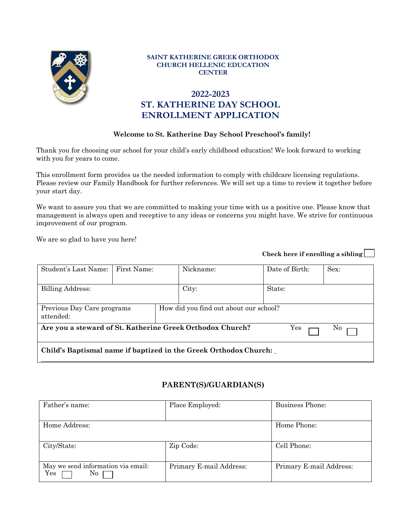

#### **SAINT KATHERINE GREEK ORTHODOX CHURCH HELLENIC EDUCATION CENTER**

# **2022-2023 ST. KATHERINE DAY SCHOOL ENROLLMENT APPLICATION**

#### **Welcome to St. Katherine Day School Preschool's family!**

Thank you for choosing our school for your child's early childhood education! We look forward to working with you for years to come.

This enrollment form provides us the needed information to comply with childcare licensing regulations. Please review our Family Handbook for further references. We will set up a time to review it together before your start day.

We want to assure you that we are committed to making your time with us a positive one. Please know that management is always open and receptive to any ideas or concerns you might have. We strive for continuous improvement of our program.

We are so glad to have you here!

| Student's Last Name:                                                   | First Name: |                                        | Nickname: | Date of Birth: | Sex: |
|------------------------------------------------------------------------|-------------|----------------------------------------|-----------|----------------|------|
|                                                                        |             |                                        |           |                |      |
| Billing Address:                                                       |             |                                        | City:     | State:         |      |
|                                                                        |             |                                        |           |                |      |
| Previous Day Care programs<br>attended:                                |             | How did you find out about our school? |           |                |      |
| Are you a steward of St. Katherine Greek Orthodox Church?<br>Yes<br>No |             |                                        |           |                |      |
| Child's Baptismal name if baptized in the Greek Orthodox Church:       |             |                                        |           |                |      |

#### **PARENT(S)/GUARDIAN(S)**

| Father's name:                                  | Place Employed:         | Business Phone:         |
|-------------------------------------------------|-------------------------|-------------------------|
| Home Address:                                   |                         | Home Phone:             |
|                                                 |                         |                         |
| City/State:                                     | Zip Code:               | Cell Phone:             |
| May we send information via email:<br>Yes<br>No | Primary E-mail Address: | Primary E-mail Address: |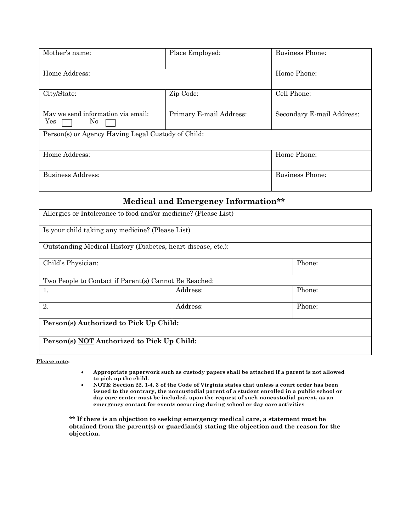| Mother's name:                                     | Place Employed:         | <b>Business Phone:</b>    |
|----------------------------------------------------|-------------------------|---------------------------|
| Home Address:                                      |                         | Home Phone:               |
| City/State:                                        | Zip Code:               | Cell Phone:               |
| May we send information via email:<br>Yes<br>No    | Primary E-mail Address: | Secondary E-mail Address: |
| Person(s) or Agency Having Legal Custody of Child: |                         |                           |
| Home Address:                                      |                         | Home Phone:               |
| Business Address:                                  |                         | <b>Business Phone:</b>    |

## **Medical and Emergency Information\*\***

| Allergies or Intolerance to food and/or medicine? (Please List) |          |        |
|-----------------------------------------------------------------|----------|--------|
| Is your child taking any medicine? (Please List)                |          |        |
| Outstanding Medical History (Diabetes, heart disease, etc.):    |          |        |
| Phone:<br>Child's Physician:                                    |          |        |
| Two People to Contact if Parent(s) Cannot Be Reached:           |          |        |
| 1.                                                              | Address: | Phone: |
| 2.                                                              | Address: | Phone: |
| Person(s) Authorized to Pick Up Child:                          |          |        |
| Person(s) NOT Authorized to Pick Up Child:                      |          |        |

**Please note:**

- **Appropriate paperwork such as custody papers shall be attached if a parent is not allowed to pick up the child.**
- **NOTE: Section 22. 1-4. 3 of the Code of Virginia states that unless a court order has been issued to the contrary, the noncustodial parent of a student enrolled in a public school or day care center must be included, upon the request of such noncustodial parent, as an emergency contact for events occurring during school or day care activities**

**\*\* If there is an objection to seeking emergency medical care, a statement must be obtained from the parent(s) or guardian(s) stating the objection and the reason for the objection.**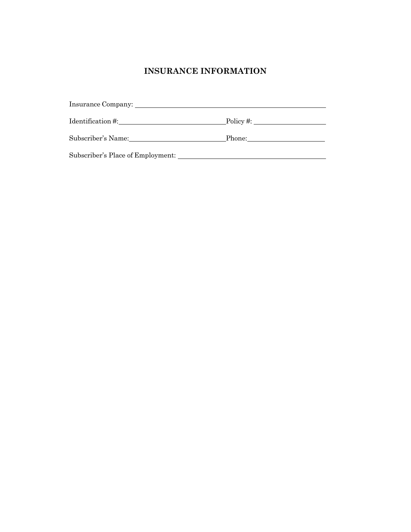# **INSURANCE INFORMATION**

| Identification #:                 | $\Box$ Policy #:                                                                                                                                                                                                               |
|-----------------------------------|--------------------------------------------------------------------------------------------------------------------------------------------------------------------------------------------------------------------------------|
| Subscriber's Name:                | Phone: The contract of the contract of the contract of the contract of the contract of the contract of the contract of the contract of the contract of the contract of the contract of the contract of the contract of the con |
| Subscriber's Place of Employment: |                                                                                                                                                                                                                                |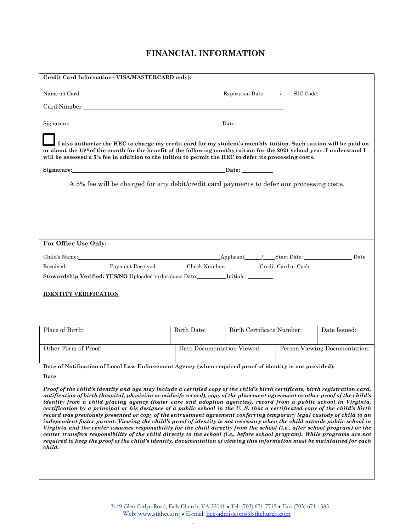# **FINANCIAL INFORMATION**

| Credit Card Information-VISA/MASTERCARD only):                                                                                                                                                                                                                                                                                                                                                                                                                                                                                                                                                                                         |                    |                                                                                                                  |                               |
|----------------------------------------------------------------------------------------------------------------------------------------------------------------------------------------------------------------------------------------------------------------------------------------------------------------------------------------------------------------------------------------------------------------------------------------------------------------------------------------------------------------------------------------------------------------------------------------------------------------------------------------|--------------------|------------------------------------------------------------------------------------------------------------------|-------------------------------|
|                                                                                                                                                                                                                                                                                                                                                                                                                                                                                                                                                                                                                                        |                    |                                                                                                                  |                               |
|                                                                                                                                                                                                                                                                                                                                                                                                                                                                                                                                                                                                                                        |                    |                                                                                                                  |                               |
| Signature: Date: Date:                                                                                                                                                                                                                                                                                                                                                                                                                                                                                                                                                                                                                 |                    |                                                                                                                  |                               |
| or about the 15 <sup>th</sup> of the month for the benefit of the following months tuition for the 2021 school year. I understand I<br>will be assessed a 5% fee in addition to the tuition to permit the HEC to defer its processing costs.                                                                                                                                                                                                                                                                                                                                                                                           |                    | I also authorize the HEC to charge my credit card for my student's monthly tuition. Such tuition will be paid on |                               |
| Signature: Date: Date: Date: Date: Detection of Date: Date: Date: Date: Date: Date: Date: Date: Date: Date: D                                                                                                                                                                                                                                                                                                                                                                                                                                                                                                                          |                    |                                                                                                                  |                               |
|                                                                                                                                                                                                                                                                                                                                                                                                                                                                                                                                                                                                                                        |                    | A 5% fee will be charged for any debit/credit card payments to defer our processing costs.                       |                               |
|                                                                                                                                                                                                                                                                                                                                                                                                                                                                                                                                                                                                                                        |                    |                                                                                                                  |                               |
|                                                                                                                                                                                                                                                                                                                                                                                                                                                                                                                                                                                                                                        |                    |                                                                                                                  |                               |
|                                                                                                                                                                                                                                                                                                                                                                                                                                                                                                                                                                                                                                        |                    |                                                                                                                  |                               |
| For Office Use Only:                                                                                                                                                                                                                                                                                                                                                                                                                                                                                                                                                                                                                   |                    |                                                                                                                  |                               |
|                                                                                                                                                                                                                                                                                                                                                                                                                                                                                                                                                                                                                                        |                    |                                                                                                                  |                               |
| Child's Name: Date Date Date Applicant Applicant Applicant Contract Date: Date Date Date                                                                                                                                                                                                                                                                                                                                                                                                                                                                                                                                               |                    |                                                                                                                  |                               |
| Stewardship Verified: YES/NO Uploaded to database Date: _________ Initials: _______                                                                                                                                                                                                                                                                                                                                                                                                                                                                                                                                                    |                    |                                                                                                                  |                               |
|                                                                                                                                                                                                                                                                                                                                                                                                                                                                                                                                                                                                                                        |                    |                                                                                                                  |                               |
| <b>IDENTITY VERIFICATION</b>                                                                                                                                                                                                                                                                                                                                                                                                                                                                                                                                                                                                           |                    |                                                                                                                  |                               |
|                                                                                                                                                                                                                                                                                                                                                                                                                                                                                                                                                                                                                                        |                    |                                                                                                                  |                               |
| Place of Birth:                                                                                                                                                                                                                                                                                                                                                                                                                                                                                                                                                                                                                        | <b>Birth Date:</b> | Birth Certificate Number:                                                                                        | Date Issued:                  |
|                                                                                                                                                                                                                                                                                                                                                                                                                                                                                                                                                                                                                                        |                    |                                                                                                                  |                               |
| Other Form of Proof:                                                                                                                                                                                                                                                                                                                                                                                                                                                                                                                                                                                                                   |                    | Date Documentation Viewed:                                                                                       | Person Viewing Documentation: |
| Date of Notification of Local Law-Enforcement Agency (when required proof of identity is not provided):                                                                                                                                                                                                                                                                                                                                                                                                                                                                                                                                |                    |                                                                                                                  |                               |
| Date                                                                                                                                                                                                                                                                                                                                                                                                                                                                                                                                                                                                                                   |                    |                                                                                                                  |                               |
| Proof of the child's identity and age may include a certified copy of the child's birth certificate, birth registration card,                                                                                                                                                                                                                                                                                                                                                                                                                                                                                                          |                    |                                                                                                                  |                               |
| notification of birth (hospital, physician or midwife record), copy of the placement agreement or other proof of the child's<br>identity from a child placing agency (foster care and adoption agencies), record from a public school in Virginia,<br>certification by a principal or his designee of a public school in the U.S. that a certificated copy of the child's birth<br>record was previously presented or copy of the entrustment agreement conferring temporary legal custody of child to an<br>independent foster parent. Viewing the child's proof of identity is not necessary when the child attends public school in |                    |                                                                                                                  |                               |
| Virginia and the center assumes responsibility for the child directly from the school (i.e., after school program) or the<br>center transfers responsibility of the child directly to the school (i.e., before school program). While programs are not<br>required to keep the proof of the child's identity, documentation of viewing this information must be maintained for each<br>child.                                                                                                                                                                                                                                          |                    |                                                                                                                  |                               |
|                                                                                                                                                                                                                                                                                                                                                                                                                                                                                                                                                                                                                                        |                    |                                                                                                                  |                               |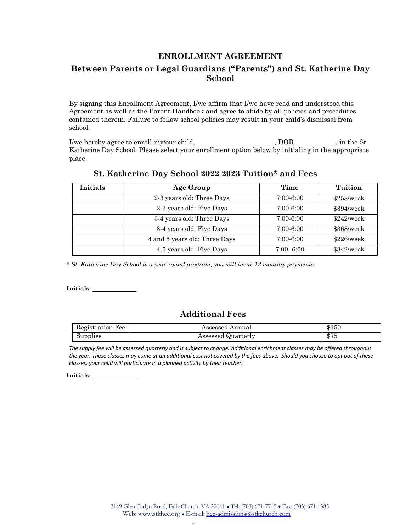### **ENROLLMENT AGREEMENT**

## **Between Parents or Legal Guardians ("Parents") and St. Katherine Day School**

By signing this Enrollment Agreement, I/we affirm that I/we have read and understood this Agreement as well as the Parent Handbook and agree to abide by all policies and procedures contained therein. Failure to follow school policies may result in your child's dismissal from school.

I/we hereby agree to enroll my/our child, https://web.com/solongular.com/solongular.com/solongular.com/solongu Katherine Day School. Please select your enrollment option below by initialing in the appropriate place:

| <b>Initials</b> | Age Group                     | Time          | Tuition      |
|-----------------|-------------------------------|---------------|--------------|
|                 | 2-3 years old: Three Days     | $7:00-6:00$   | $$258$ /week |
|                 | 2-3 years old: Five Days      | $7:00-6:00$   | \$394/week   |
|                 | 3-4 years old: Three Days     | $7:00-6:00$   | \$242/week   |
|                 | 3-4 years old: Five Days      | $7:00-6:00$   | \$368/week   |
|                 | 4 and 5 years old: Three Days | $7:00-6:00$   | \$226/weak   |
|                 | 4-5 years old: Five Days      | $7:00 - 6:00$ | \$342/week   |

#### **St. Katherine Day School 2022 2023 Tuition\* and Fees**

*\* St. Katherine Day School is a year-round program; you will incur 12 monthly payments.*

**Initials: \_\_\_\_\_\_\_\_\_\_\_\_\_\_**

## **Additional Fees**

| Registration Fee | Assessed Annual    | \$150         |
|------------------|--------------------|---------------|
| Supplies         | Assessed Quarterly | 0.7F<br>ক । ত |

*The supply fee will be assessed quarterly and is subject to change. Additional enrichment classes may be offered throughout the year. These classes may come at an additional cost not covered by the fees above. Should you choose to opt out of these classes, your child will participate in a planned activity by their teacher.*

**Initials: \_\_\_\_\_\_\_\_\_\_\_\_\_\_**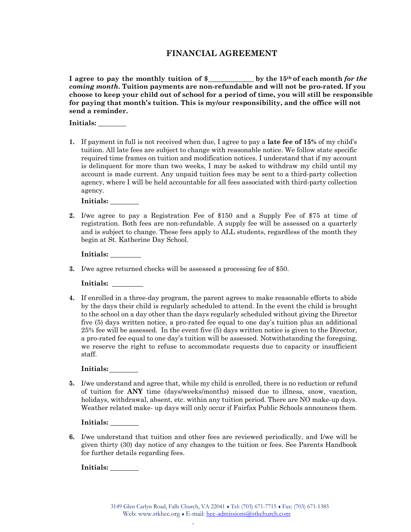### **FINANCIAL AGREEMENT**

**I agree to pay the monthly tuition of \$ by the 15th of each month** *for the coming month***. Tuition payments are non-refundable and will not be pro-rated. If you choose to keep your child out of school for a period of time, you will still be responsible for paying that month's tuition. This is my/our responsibility, and the office will not send a reminder.**

**Initials:**

**1.** If payment in full is not received when due, I agree to pay a **late fee of 15%** of my child's tuition. All late fees are subject to change with reasonable notice. We follow state specific required time frames on tuition and modification notices. I understand that if my account is delinquent for more than two weeks, I may be asked to withdraw my child until my account is made current. Any unpaid tuition fees may be sent to a third-party collection agency, where I will be held accountable for all fees associated with third-party collection agency.

**Initials:** 

**2.** I/we agree to pay a Registration Fee of \$150 and a Supply Fee of \$75 at time of registration. Both fees are non-refundable. A supply fee will be assessed on a quarterly and is subject to change. These fees apply to ALL students, regardless of the month they begin at St. Katherine Day School.

**Initials:** 

**3.** I/we agree returned checks will be assessed a processing fee of \$50.

**Initials:** 

**4.** If enrolled in a three-day program, the parent agrees to make reasonable efforts to abide by the days their child is regularly scheduled to attend. In the event the child is brought to the school on a day other than the days regularly scheduled without giving the Director five (5) days written notice, a pro-rated fee equal to one day's tuition plus an additional 25% fee will be assessed. In the event five (5) days written notice is given to the Director, a pro-rated fee equal to one day's tuition will be assessed. Notwithstanding the foregoing, we reserve the right to refuse to accommodate requests due to capacity or insufficient staff.

**Initials:** 

**5.** I/we understand and agree that, while my child is enrolled, there is no reduction or refund of tuition for **ANY** time (days/weeks/months) missed due to illness, snow, vacation, holidays, withdrawal, absent, etc. within any tuition period. There are NO make-up days. Weather related make- up days will only occur if Fairfax Public Schools announces them.

**Initials:** 

**6.** I/we understand that tuition and other fees are reviewed periodically, and I/we will be given thirty (30) day notice of any changes to the tuition or fees. See Parents Handbook for further details regarding fees.

**Initials:**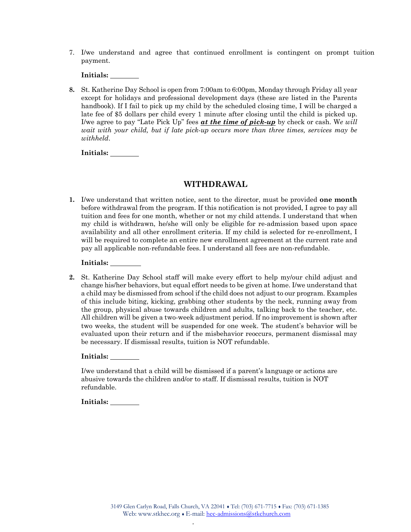7. I/we understand and agree that continued enrollment is contingent on prompt tuition payment.

**Initials:** 

**8.** St. Katherine Day School is open from 7:00am to 6:00pm, Monday through Friday all year except for holidays and professional development days (these are listed in the Parents handbook). If I fail to pick up my child by the scheduled closing time, I will be charged a late fee of \$5 dollars per child every 1 minute after closing until the child is picked up. I/we agree to pay "Late Pick Up" fees *at the time of pick-up* by check or cash. W*e will wait with your child, but if late pick-up occurs more than three times, services may be withheld*.

**Initials:** 

#### **WITHDRAWAL**

**1.** I/we understand that written notice, sent to the director, must be provided **one month**  before withdrawal from the program. If this notification is not provided, I agree to pay all tuition and fees for one month, whether or not my child attends. I understand that when my child is withdrawn, he/she will only be eligible for re-admission based upon space availability and all other enrollment criteria. If my child is selected for re-enrollment, I will be required to complete an entire new enrollment agreement at the current rate and pay all applicable non-refundable fees. I understand all fees are non-refundable.

#### **Initials:**

**2.** St. Katherine Day School staff will make every effort to help my/our child adjust and change his/her behaviors, but equal effort needs to be given at home. I/we understand that a child may be dismissed from school if the child does not adjust to our program. Examples of this include biting, kicking, grabbing other students by the neck, running away from the group, physical abuse towards children and adults, talking back to the teacher, etc. All children will be given a two-week adjustment period. If no improvement is shown after two weeks, the student will be suspended for one week. The student's behavior will be evaluated upon their return and if the misbehavior reoccurs, permanent dismissal may be necessary. If dismissal results, tuition is NOT refundable.

#### **Initials:**

I/we understand that a child will be dismissed if a parent's language or actions are abusive towards the children and/or to staff. If dismissal results, tuition is NOT refundable.

**Initials:**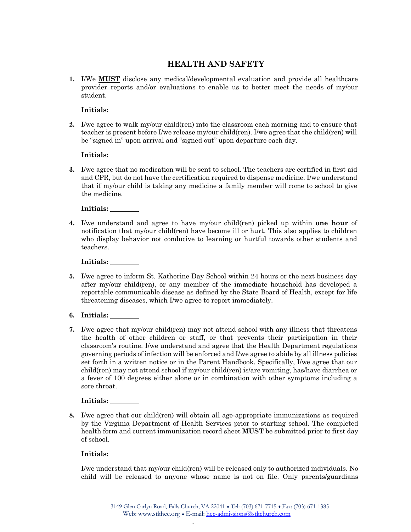## **HEALTH AND SAFETY**

**1.** I/We **MUST** disclose any medical/developmental evaluation and provide all healthcare provider reports and/or evaluations to enable us to better meet the needs of my/our student.

**Initials:** 

**2.** I/we agree to walk my/our child(ren) into the classroom each morning and to ensure that teacher is present before I/we release my/our child(ren). I/we agree that the child(ren) will be "signed in" upon arrival and "signed out" upon departure each day.

| Initials: |  |
|-----------|--|
|           |  |

**3.** I/we agree that no medication will be sent to school. The teachers are certified in first aid and CPR, but do not have the certification required to dispense medicine. I/we understand that if my/our child is taking any medicine a family member will come to school to give the medicine.

**Initials:** 

**4.** I/we understand and agree to have my/our child(ren) picked up within **one hour** of notification that my/our child(ren) have become ill or hurt. This also applies to children who display behavior not conducive to learning or hurtful towards other students and teachers.

**Initials:** 

- **5.** I/we agree to inform St. Katherine Day School within 24 hours or the next business day after my/our child(ren), or any member of the immediate household has developed a reportable communicable disease as defined by the State Board of Health, except for life threatening diseases, which I/we agree to report immediately.
- **6. Initials:**
- **7.** I/we agree that my/our child(ren) may not attend school with any illness that threatens the health of other children or staff, or that prevents their participation in their classroom's routine. I/we understand and agree that the Health Department regulations governing periods of infection will be enforced and I/we agree to abide by all illness policies set forth in a written notice or in the Parent Handbook. Specifically, I/we agree that our child(ren) may not attend school if my/our child(ren) is/are vomiting, has/have diarrhea or a fever of 100 degrees either alone or in combination with other symptoms including a sore throat.

#### **Initials:**

**8.** I/we agree that our child(ren) will obtain all age-appropriate immunizations as required by the Virginia Department of Health Services prior to starting school. The completed health form and current immunization record sheet **MUST** be submitted prior to first day of school.

#### **Initials:**

I/we understand that my/our child(ren) will be released only to authorized individuals. No child will be released to anyone whose name is not on file. Only parents/guardians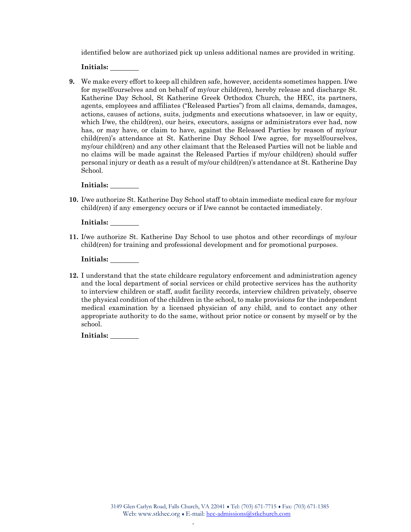identified below are authorized pick up unless additional names are provided in writing.

**Initials:** 

**9.** We make every effort to keep all children safe, however, accidents sometimes happen. I/we for myself/ourselves and on behalf of my/our child(ren), hereby release and discharge St. Katherine Day School, St Katherine Greek Orthodox Church, the HEC, its partners, agents, employees and affiliates ("Released Parties") from all claims, demands, damages, actions, causes of actions, suits, judgments and executions whatsoever, in law or equity, which I/we, the child(ren), our heirs, executors, assigns or administrators ever had, now has, or may have, or claim to have, against the Released Parties by reason of my/our child(ren)'s attendance at St. Katherine Day School I/we agree, for myself/ourselves, my/our child(ren) and any other claimant that the Released Parties will not be liable and no claims will be made against the Released Parties if my/our child(ren) should suffer personal injury or death as a result of my/our child(ren)'s attendance at St. Katherine Day School.

**Initials:** 

**10.** I/we authorize St. Katherine Day School staff to obtain immediate medical care for my/our child(ren) if any emergency occurs or if I/we cannot be contacted immediately.

**Initials:** 

**11.** I/we authorize St. Katherine Day School to use photos and other recordings of my/our child(ren) for training and professional development and for promotional purposes.

**Initials:** 

**12.** I understand that the state childcare regulatory enforcement and administration agency and the local department of social services or child protective services has the authority to interview children or staff, audit facility records, interview children privately, observe the physical condition of the children in the school, to make provisions for the independent medical examination by a licensed physician of any child, and to contact any other appropriate authority to do the same, without prior notice or consent by myself or by the school.

**Initials:**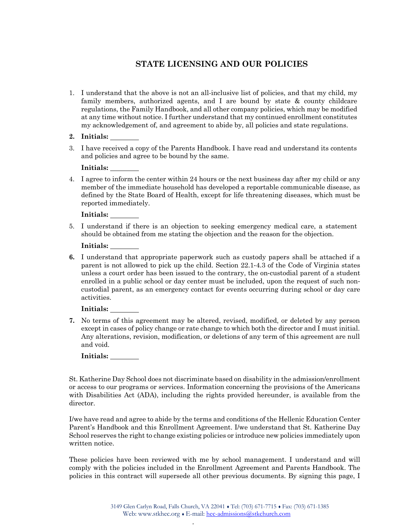## **STATE LICENSING AND OUR POLICIES**

- 1. I understand that the above is not an all-inclusive list of policies, and that my child, my family members, authorized agents, and I are bound by state & county childcare regulations, the Family Handbook, and all other company policies, which may be modified at any time without notice. I further understand that my continued enrollment constitutes my acknowledgement of, and agreement to abide by, all policies and state regulations.
- **2. Initials:**
- 3. I have received a copy of the Parents Handbook. I have read and understand its contents and policies and agree to be bound by the same.

| Initials: |  |
|-----------|--|
|           |  |

4. I agree to inform the center within 24 hours or the next business day after my child or any member of the immediate household has developed a reportable communicable disease, as defined by the State Board of Health, except for life threatening diseases, which must be reported immediately.

**Initials:** 

5. I understand if there is an objection to seeking emergency medical care, a statement should be obtained from me stating the objection and the reason for the objection.

| Initials: |  |
|-----------|--|
|           |  |

**6.** I understand that appropriate paperwork such as custody papers shall be attached if a parent is not allowed to pick up the child. Section 22.1-4.3 of the Code of Virginia states unless a court order has been issued to the contrary, the on-custodial parent of a student enrolled in a public school or day center must be included, upon the request of such noncustodial parent, as an emergency contact for events occurring during school or day care activities.

#### **Initials:**

**7.** No terms of this agreement may be altered, revised, modified, or deleted by any person except in cases of policy change or rate change to which both the director and I must initial. Any alterations, revision, modification, or deletions of any term of this agreement are null and void.

**Initials:** 

St. Katherine Day School does not discriminate based on disability in the admission/enrollment or access to our programs or services. Information concerning the provisions of the Americans with Disabilities Act (ADA), including the rights provided hereunder, is available from the director.

I/we have read and agree to abide by the terms and conditions of the Hellenic Education Center Parent's Handbook and this Enrollment Agreement. I/we understand that St. Katherine Day School reserves the right to change existing policies or introduce new policies immediately upon written notice.

These policies have been reviewed with me by school management. I understand and will comply with the policies included in the Enrollment Agreement and Parents Handbook. The policies in this contract will supersede all other previous documents. By signing this page, I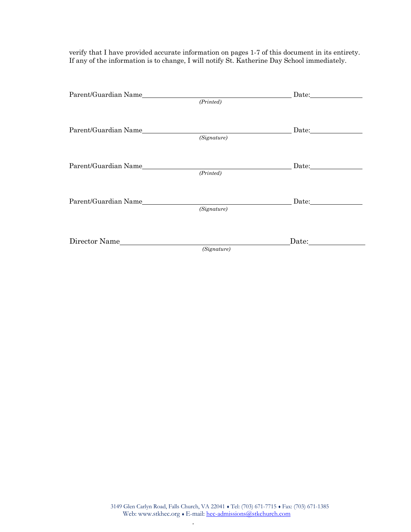verify that I have provided accurate information on pages 1-7 of this document in its entirety. If any of the information is to change, I will notify St. Katherine Day School immediately.

| Parent/Guardian Name |             |       | Date: |  |
|----------------------|-------------|-------|-------|--|
|                      | (Printed)   |       |       |  |
|                      |             |       |       |  |
|                      |             | Date: |       |  |
|                      | (Signature) |       |       |  |
|                      |             |       |       |  |
| Parent/Guardian Name |             |       |       |  |
|                      | (Printed)   |       |       |  |
|                      |             |       |       |  |
| Parent/Guardian Name |             |       |       |  |
|                      | (Signature) |       |       |  |
|                      |             |       |       |  |
|                      |             |       |       |  |
| Director Name        |             | Date: |       |  |
|                      | (Signature) |       |       |  |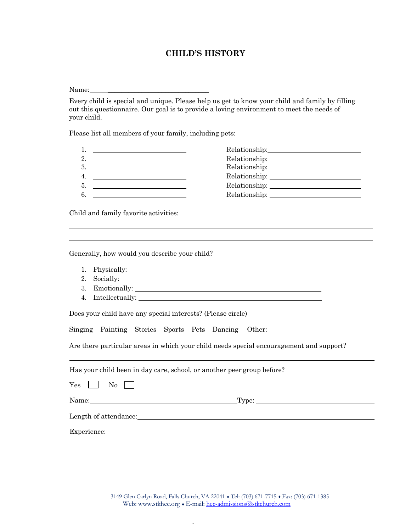### **CHILD'S HISTORY**

Name:\_

Every child is special and unique. Please help us get to know your child and family by filling out this questionnaire. Our goal is to provide a loving environment to meet the needs of your child.

Please list all members of your family, including pets:

|    | the contract of the contract of the contract of the contract of the contract of | Relationship: 2000                                                                                                                                                                                                                                                                                                                                                                                                                                                                                                                                                                                                   |
|----|---------------------------------------------------------------------------------|----------------------------------------------------------------------------------------------------------------------------------------------------------------------------------------------------------------------------------------------------------------------------------------------------------------------------------------------------------------------------------------------------------------------------------------------------------------------------------------------------------------------------------------------------------------------------------------------------------------------|
| 2. |                                                                                 |                                                                                                                                                                                                                                                                                                                                                                                                                                                                                                                                                                                                                      |
| 3. |                                                                                 | $\textbf{Relationship:}\underline{\hspace{2.5cm}}\textcolor{blue}{\vphantom{\qquad}\textbf{1}}$                                                                                                                                                                                                                                                                                                                                                                                                                                                                                                                      |
| 4. |                                                                                 | $\textbf{Relationship:}\underline{\hspace{2cm}}\underline{\hspace{2cm}}\underline{\hspace{2cm}}\underline{\hspace{2cm}}\underline{\hspace{2cm}}\underline{\hspace{2cm}}\underline{\hspace{2cm}}\underline{\hspace{2cm}}\underline{\hspace{2cm}}\underline{\hspace{2cm}}\underline{\hspace{2cm}}\underline{\hspace{2cm}}\underline{\hspace{2cm}}\underline{\hspace{2cm}}\underline{\hspace{2cm}}\underline{\hspace{2cm}}\underline{\hspace{2cm}}\underline{\hspace{2cm}}\underline{\hspace{2cm}}\underline{\hspace{2cm}}\underline{\hspace{2cm}}\underline{\hspace{2cm}}\underline{\hspace{2cm}}\underline{\hspace{2$ |
| 5. |                                                                                 |                                                                                                                                                                                                                                                                                                                                                                                                                                                                                                                                                                                                                      |
| 6. |                                                                                 |                                                                                                                                                                                                                                                                                                                                                                                                                                                                                                                                                                                                                      |

 

 

Child and family favorite activities:

Generally, how would you describe your child?

- 1. Physically:
- 2. Socially:
- 3. Emotionally:
- 4. Intellectually:

Does your child have any special interests? (Please circle)

Singing Painting Stories Sports Pets Dancing Other:

Are there particular areas in which your child needs special encouragement and support?

Has your child been in day care, school, or another peer group before?

 $Yes \tNo \tN$ 

Name: Type:

Length of attendance:

Experience: